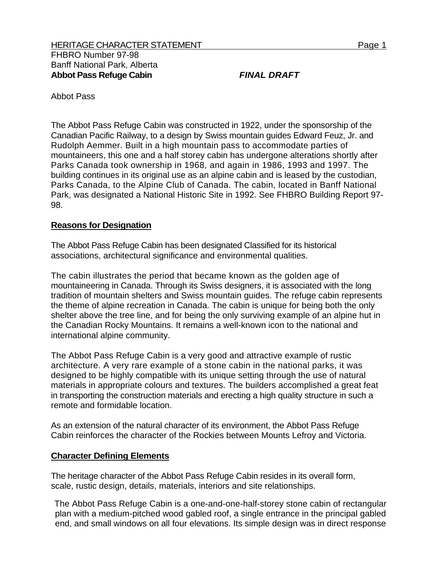Abbot Pass

The Abbot Pass Refuge Cabin was constructed in 1922, under the sponsorship of the Canadian Pacific Railway, to a design by Swiss mountain guides Edward Feuz, Jr. and Rudolph Aemmer. Built in a high mountain pass to accommodate parties of mountaineers, this one and a half storey cabin has undergone alterations shortly after Parks Canada took ownership in 1968, and again in 1986, 1993 and 1997. The building continues in its original use as an alpine cabin and is leased by the custodian, Parks Canada, to the Alpine Club of Canada. The cabin, located in Banff National Park, was designated a National Historic Site in 1992. See FHBRO Building Report 97- 98.

## **Reasons for Designation**

The Abbot Pass Refuge Cabin has been designated Classified for its historical associations, architectural significance and environmental qualities.

The cabin illustrates the period that became known as the golden age of mountaineering in Canada. Through its Swiss designers, it is associated with the long tradition of mountain shelters and Swiss mountain guides. The refuge cabin represents the theme of alpine recreation in Canada. The cabin is unique for being both the only shelter above the tree line, and for being the only surviving example of an alpine hut in the Canadian Rocky Mountains. It remains a well-known icon to the national and international alpine community.

The Abbot Pass Refuge Cabin is a very good and attractive example of rustic architecture. A very rare example of a stone cabin in the national parks, it was designed to be highly compatible with its unique setting through the use of natural materials in appropriate colours and textures. The builders accomplished a great feat in transporting the construction materials and erecting a high quality structure in such a remote and formidable location.

As an extension of the natural character of its environment, the Abbot Pass Refuge Cabin reinforces the character of the Rockies between Mounts Lefroy and Victoria.

## **Character Defining Elements**

The heritage character of the Abbot Pass Refuge Cabin resides in its overall form, scale, rustic design, details, materials, interiors and site relationships.

The Abbot Pass Refuge Cabin is a one-and-one-half-storey stone cabin of rectangular plan with a medium-pitched wood gabled roof, a single entrance in the principal gabled end, and small windows on all four elevations. Its simple design was in direct response